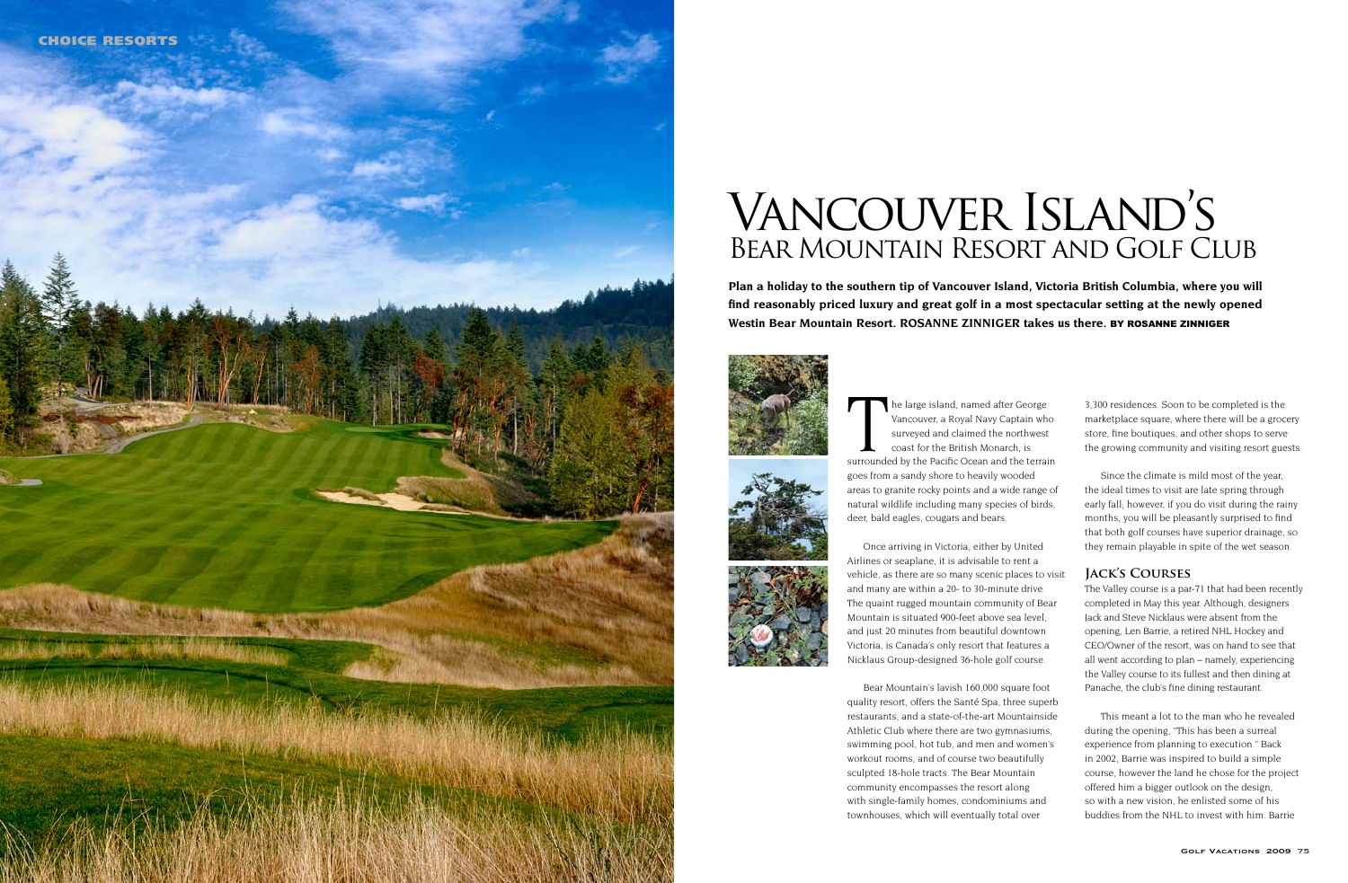

The large island, named after George<br>
Vancouver, a Royal Navy Captain who<br>
surveyed and claimed the northwest<br>
coast for the British Monarch, is<br>
surrounded by the Pacific Ocean and the terrain Vancouver, a Royal Navy Captain who surveyed and claimed the northwest coast for the British Monarch, is goes from a sandy shore to heavily wooded areas to granite rocky points and a wide range of natural wildlife including many species of birds, deer, bald eagles, cougars and bears.

Once arriving in Victoria, either by United Airlines or seaplane, it is advisable to rent a vehicle, as there are so many scenic places to visit and many are within a 20- to 30-minute drive. The quaint rugged mountain community of Bear Mountain is situated 900-feet above sea level, and just 20 minutes from beautiful downtown Victoria, is Canada's only resort that features a Nicklaus Group-designed 36-hole golf course.

Bear Mountain's lavish 160,000 square foot quality resort, offers the Santé Spa, three superb restaurants, and a state-of-the-art Mountainside Athletic Club where there are two gymnasiums, swimming pool, hot tub, and men and women's workout rooms, and of course two beautifully sculpted 18-hole tracts. The Bear Mountain community encompasses the resort along with single-family homes, condominiums and townhouses, which will eventually total over

3,300 residences. Soon to be completed is the marketplace square, where there will be a grocery store, fine boutiques, and other shops to serve the growing community and visiting resort guests.

Since the climate is mild most of the year, the ideal times to visit are late spring through early fall; however, if you do visit during the rainy months, you will be pleasantly surprised to find that both golf courses have superior drainage, so they remain playable in spite of the wet season.

#### **Jack's Courses**

The Valley course is a par-71 that had been recently completed in May this year. Although, designers Jack and Steve Nicklaus were absent from the opening, Len Barrie, a retired NHL Hockey and CEO/Owner of the resort, was on hand to see that all went according to plan – namely, experiencing the Valley course to its fullest and then dining at Panache, the club's fine dining restaurant.

This meant a lot to the man who he revealed during the opening, "This has been a surreal experience from planning to execution." Back in 2002, Barrie was inspired to build a simple course, however the land he chose for the project offered him a bigger outlook on the design, so with a new vision, he enlisted some of his buddies from the NHL to invest with him. Barrie

**Plan a holiday to the southern tip of Vancouver Island, Victoria British Columbia, where you will find reasonably priced luxury and great golf in a most spectacular setting at the newly opened Westin Bear Mountain Resort. ROSANNE ZINNIGER takes us there.** BY ROSANNE ZINNIGER







# Vancouver Island's Bear Mountain Resort and Golf Club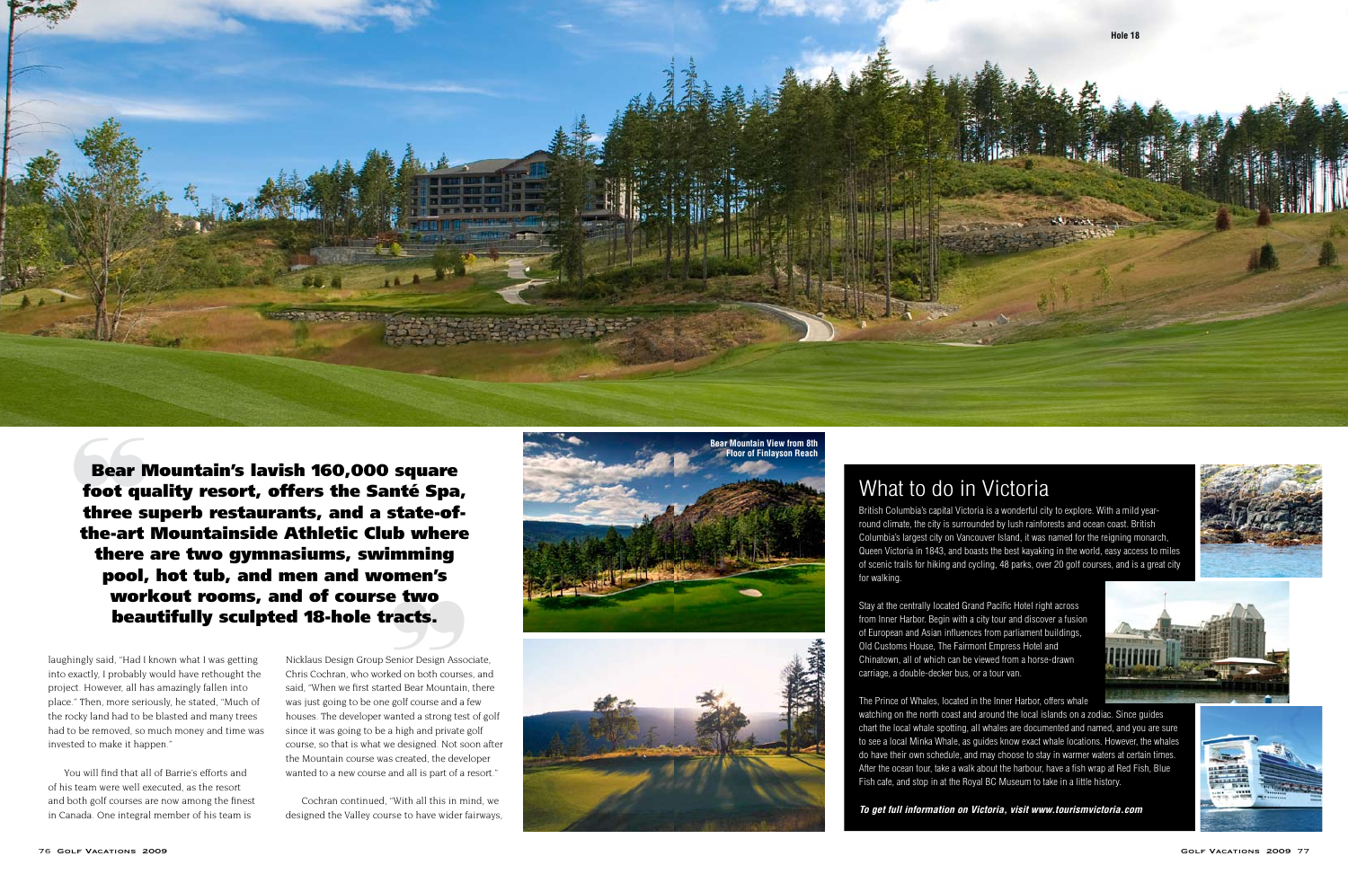

**Bear Mountain's lavish 160,000 square** foot quality resort, offers the Santé Spa, three superb restaurants, and a state-ofthe-art Mountainside Athletic Club where there are two gymnasiums, swimming pool, hot tub, and men and women's workout rooms, and of course two beautifully sculpted 18-hole tracts.

laughingly said, "Had I known what I was getting into exactly. I probably would have rethought the project. However, all has amazingly fallen into place." Then, more seriously, he stated, "Much of the rocky land had to be blasted and many trees had to be removed, so much money and time was invested to make it happen."

You will find that all of Barrie's efforts and of his team were well executed, as the resort and both golf courses are now among the finest in Canada. One integral member of his team is

Nicklaus Design Group Senior Design Associate, Chris Cochran, who worked on both courses, and said, "When we first started Bear Mountain, there was just going to be one golf course and a few houses. The developer wanted a strong test of golf since it was going to be a high and private golf course, so that is what we designed. Not soon after the Mountain course was created, the developer wanted to a new course and all is part of a resort."

Cochran continued, "With all this in mind, we designed the Valley course to have wider fairways.





## What to do in Victoria

British Columbia's capital Victoria is a wonderful city to explore. With a mild yearround climate, the city is surrounded by lush rainforests and ocean coast. British Columbia's largest city on Vancouver Island, it was named for the reigning monarch, Queen Victoria in 1843, and boasts the best kayaking in the world, easy access to miles of scenic trails for hiking and cycling, 48 parks, over 20 golf courses, and is a great city for walking.

Stay at the centrally located Grand Pacific Hotel right across from Inner Harbor. Begin with a city tour and discover a fusion of European and Asian influences from parliament buildings, Old Customs House, The Fairmont Empress Hotel and Chinatown, all of which can be viewed from a horse-drawn carriage, a double-decker bus, or a tour van.

The Prince of Whales, located in the Inner Harbor, offers whale watching on the north coast and around the local islands on a zodiac. Since quides chart the local whale spotting, all whales are documented and named, and you are sure to see a local Minka Whale, as quides know exact whale locations. However, the whales do have their own schedule, and may choose to stay in warmer waters at certain times. After the ocean tour, take a walk about the harbour, have a fish wrap at Red Fish, Blue Fish cafe, and stop in at the Royal BC Museum to take in a little history.

To get full information on Victoria, visit www.tourismvictoria.com